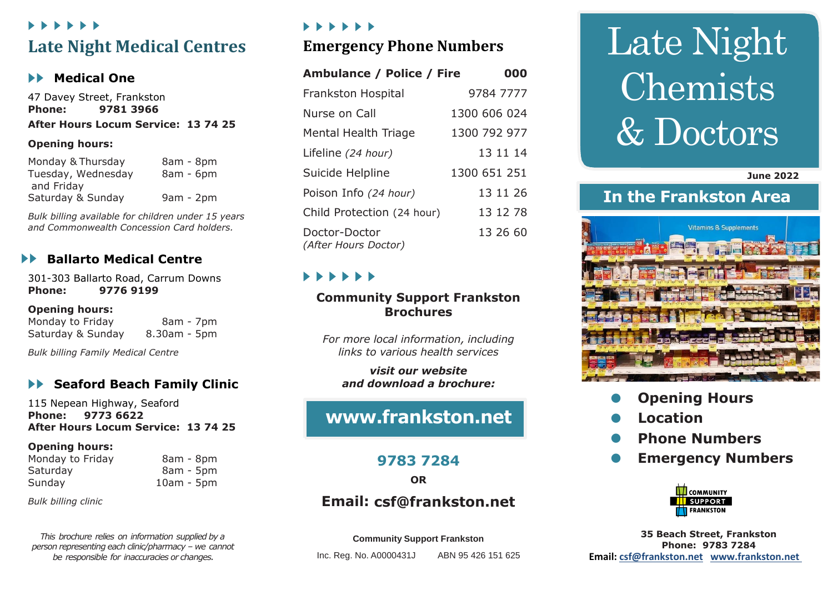## *. . . . . .* **Late Night Medical Centres**

#### **Medical One**

47 Davey Street, Frankston **Phone: 9781 3966** 

#### **After Hours Locum Service: 13 74 25**

#### **Opening hours:**

| Monday & Thursday  | 8am - 8pm   |
|--------------------|-------------|
| Tuesday, Wednesday | 8am - 6pm   |
| and Friday         |             |
| Saturday & Sunday  | $9am - 2pm$ |

*Bulk billing available for children under 15 years and Commonwealth Concession Card holders.*

#### **Ballarto Medical Centre**

301-303 Ballarto Road, Carrum Downs **Phone: 9776 9199**

#### **Opening hours:**

Monday to Friday 8am - 7pm Saturday & Sunday 8.30am - 5pm

*Bulk billing Family Medical Centre*

#### **Seaford Beach Family Clinic**

115 Nepean Highway, Seaford **Phone: 9773 6622 After Hours Locum Service: 13 74 25**

#### **Opening hours:**

| Monday to Friday | 8am - 8pm    |
|------------------|--------------|
| Saturday         | 8am - 5pm    |
| Sunday           | $10am - 5pm$ |

*Bulk billing clinic*

*This brochure relies on information supplied by a person representing each clinic/pharmacy – we cannot be responsible for inaccuracies or changes.*

#### *. . . . . .*

### **Emergency Phone Numbers**

| <b>Ambulance / Police / Fire</b>      | 000          |
|---------------------------------------|--------------|
| <b>Frankston Hospital</b>             | 9784 7777    |
| Nurse on Call                         | 1300 606 024 |
| <b>Mental Health Triage</b>           | 1300 792 977 |
| Lifeline (24 hour)                    | 13 11 14     |
| Suicide Helpline                      | 1300 651 251 |
| Poison Info (24 hour)                 | 13 11 26     |
| Child Protection (24 hour)            | 13 12 78     |
| Doctor-Doctor<br>(After Hours Doctor) | 13 26 60     |

# **. . . . . .**

#### **Community Support Frankston Brochures**

*For more local information, including links to various health services*

*visit our website and download a brochure:*

# **[www.frankston.net](http://www.frankston.net/)**

#### **9783 7284**

**OR**

## **Email: [csf@frankston.net](mailto:csf@frankston.net)**

**Community Support Frankston**

Inc. Reg. No. A0000431J ABN 95 426 151 625

# Late Night Chemists & Doctors

 **June 2022**

# **In the Frankston Area**



- **Opening Hours**
- **Location**
- **Phone Numbers**
- **Emergency Numbers**



**35 Beach Street, Frankston Phone: 9783 7284 Email: [csf@frankston.net](mailto:csf@frankston.net) [www.frankston.net](http://www.frankston.net/)**